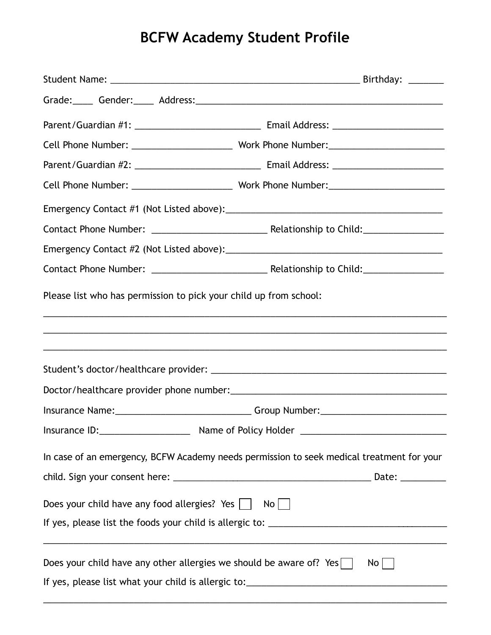## **BCFW Academy Student Profile**

|                                                                            | Grade: Gender: Address: Communication of the Crade: Communication of the Crade: Communication of the Crade of T               |
|----------------------------------------------------------------------------|-------------------------------------------------------------------------------------------------------------------------------|
|                                                                            |                                                                                                                               |
|                                                                            |                                                                                                                               |
|                                                                            |                                                                                                                               |
|                                                                            |                                                                                                                               |
|                                                                            |                                                                                                                               |
|                                                                            |                                                                                                                               |
|                                                                            |                                                                                                                               |
|                                                                            |                                                                                                                               |
| Please list who has permission to pick your child up from school:          |                                                                                                                               |
|                                                                            |                                                                                                                               |
|                                                                            |                                                                                                                               |
|                                                                            | Insurance Name: _________________________________Group Number: __________________                                             |
|                                                                            |                                                                                                                               |
|                                                                            | In case of an emergency, BCFW Academy needs permission to seek medical treatment for your                                     |
| Does your child have any food allergies? Yes $\vert \vert$                 | No                                                                                                                            |
|                                                                            |                                                                                                                               |
| Does your child have any other allergies we should be aware of? Yes $\Box$ | <u> 1989 - Johann Barn, amerikan bernama di sebagai bernama di sebagai bernama di sebagai bernama di sebagai bern</u><br>$No$ |